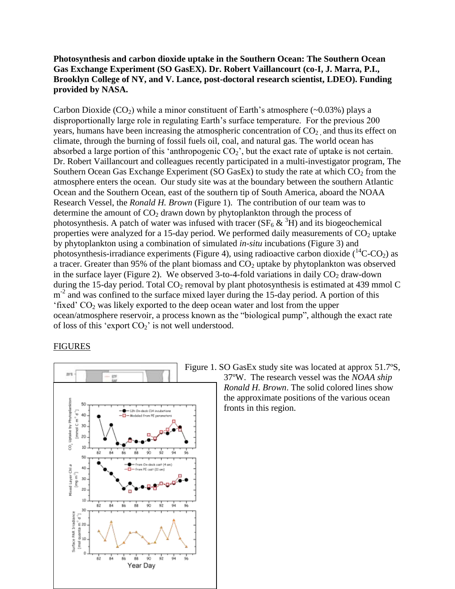## **Photosynthesis and carbon dioxide uptake in the Southern Ocean: The Southern Ocean Gas Exchange Experiment (SO GasEX). Dr. Robert Vaillancourt (co-I, J. Marra, P.I., Brooklyn College of NY, and V. Lance, post-doctoral research scientist, LDEO). Funding provided by NASA.**

Carbon Dioxide  $(CO_2)$  while a minor constituent of Earth's atmosphere (~0.03%) plays a disproportionally large role in regulating Earth's surface temperature. For the previous 200 years, humans have been increasing the atmospheric concentration of  $CO<sub>2</sub>$  and thus its effect on climate, through the burning of fossil fuels oil, coal, and natural gas. The world ocean has absorbed a large portion of this 'anthropogenic  $CO_2$ ', but the exact rate of uptake is not certain. Dr. Robert Vaillancourt and colleagues recently participated in a multi-investigator program, The Southern Ocean Gas Exchange Experiment (SO GasEx) to study the rate at which  $CO<sub>2</sub>$  from the atmosphere enters the ocean. Our study site was at the boundary between the southern Atlantic Ocean and the Southern Ocean, east of the southern tip of South America, aboard the NOAA Research Vessel, the *Ronald H. Brown* (Figure 1). The contribution of our team was to determine the amount of  $CO<sub>2</sub>$  drawn down by phytoplankton through the process of photosynthesis. A patch of water was infused with tracer  $(SF_6 \& 3H)$  and its biogeochemical properties were analyzed for a 15-day period. We performed daily measurements of  $CO<sub>2</sub>$  uptake by phytoplankton using a combination of simulated *in-situ* incubations (Figure 3) and photosynthesis-irradiance experiments (Figure 4), using radioactive carbon dioxide  $(^{14}C-CO_2)$  as a tracer. Greater than 95% of the plant biomass and  $CO<sub>2</sub>$  uptake by phytoplankton was observed in the surface layer (Figure 2). We observed 3-to-4-fold variations in daily  $CO<sub>2</sub>$  draw-down during the 15-day period. Total  $CO_2$  removal by plant photosynthesis is estimated at 439 mmol C m<sup>-2</sup> and was confined to the surface mixed layer during the 15-day period. A portion of this 'fixed'  $CO<sub>2</sub>$  was likely exported to the deep ocean water and lost from the upper ocean/atmosphere reservoir, a process known as the "biological pump", although the exact rate of loss of this 'export  $CO<sub>2</sub>$ ' is not well understood.

## FIGURES



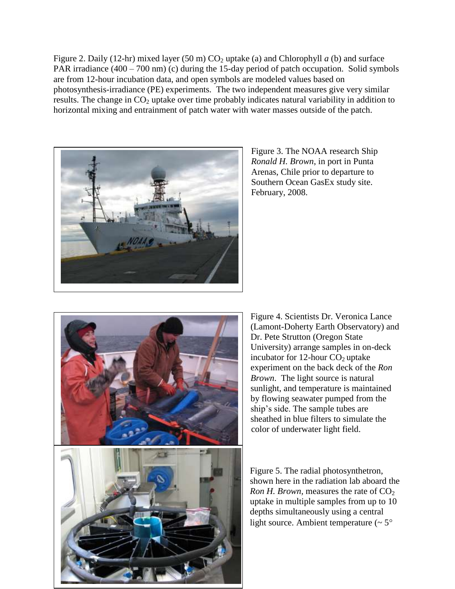Figure 2. Daily (12-hr) mixed layer (50 m)  $CO<sub>2</sub>$  uptake (a) and Chlorophyll *a* (b) and surface PAR irradiance (400 – 700 nm) (c) during the 15-day period of patch occupation. Solid symbols are from 12-hour incubation data, and open symbols are modeled values based on photosynthesis-irradiance (PE) experiments. The two independent measures give very similar results. The change in  $CO<sub>2</sub>$  uptake over time probably indicates natural variability in addition to horizontal mixing and entrainment of patch water with water masses outside of the patch.



Figure 3. The NOAA research Ship *Ronald H. Brown*, in port in Punta Arenas, Chile prior to departure to Southern Ocean GasEx study site. February, 2008.



Figure 4. Scientists Dr. Veronica Lance (Lamont-Doherty Earth Observatory) and Dr. Pete Strutton (Oregon State University) arrange samples in on-deck incubator for  $12$ -hour  $CO<sub>2</sub>$  uptake experiment on the back deck of the *Ron Brown*. The light source is natural sunlight, and temperature is maintained by flowing seawater pumped from the ship's side. The sample tubes are sheathed in blue filters to simulate the color of underwater light field.

Figure 5. The radial photosynthetron, shown here in the radiation lab aboard the *Ron H. Brown,* measures the rate of  $CO<sub>2</sub>$ uptake in multiple samples from up to 10 depths simultaneously using a central light source. Ambient temperature  $($   $\sim$   $5^{\circ}$